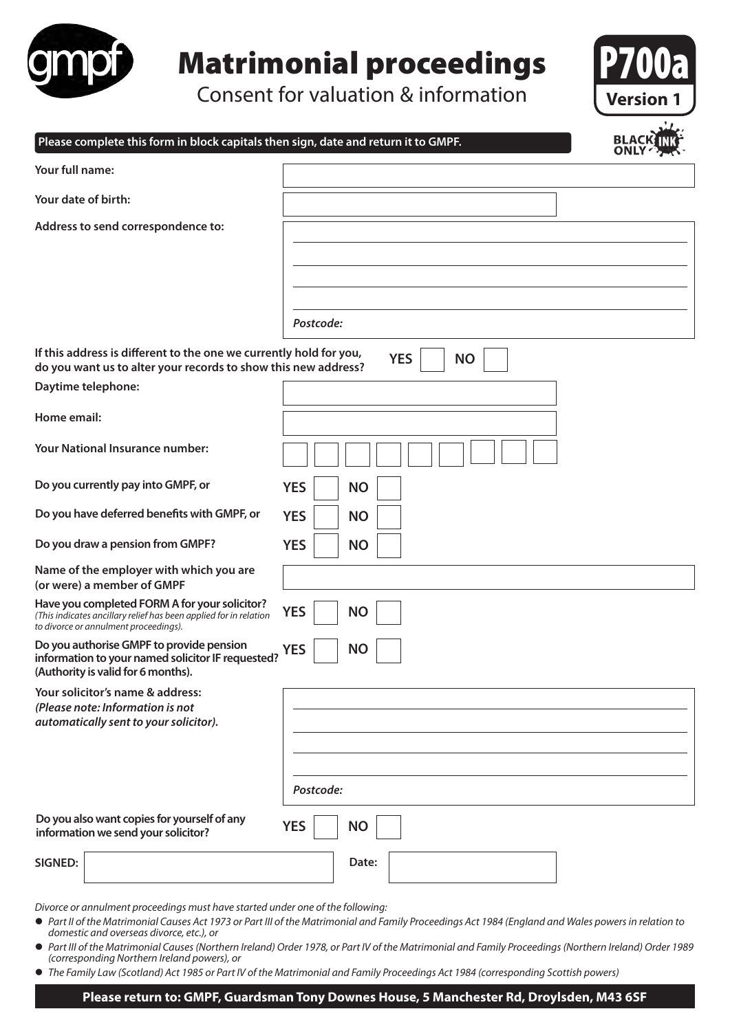

## Matrimonial proceedings

Consent for valuation & information



| Please complete this form in block capitals then sign, date and return it to GMPF.                                                                          |            |           |                         | BLAC |
|-------------------------------------------------------------------------------------------------------------------------------------------------------------|------------|-----------|-------------------------|------|
| Your full name:                                                                                                                                             |            |           |                         |      |
| Your date of birth:                                                                                                                                         |            |           |                         |      |
| Address to send correspondence to:                                                                                                                          |            |           |                         |      |
|                                                                                                                                                             |            |           |                         |      |
|                                                                                                                                                             |            |           |                         |      |
|                                                                                                                                                             | Postcode:  |           |                         |      |
| If this address is different to the one we currently hold for you,<br>do you want us to alter your records to show this new address?                        |            |           | <b>YES</b><br><b>NO</b> |      |
| Daytime telephone:                                                                                                                                          |            |           |                         |      |
| Home email:                                                                                                                                                 |            |           |                         |      |
| <b>Your National Insurance number:</b>                                                                                                                      |            |           |                         |      |
| Do you currently pay into GMPF, or                                                                                                                          | <b>YES</b> | <b>NO</b> |                         |      |
| Do you have deferred benefits with GMPF, or                                                                                                                 | <b>YES</b> | <b>NO</b> |                         |      |
| Do you draw a pension from GMPF?                                                                                                                            | <b>YES</b> | <b>NO</b> |                         |      |
| Name of the employer with which you are<br>(or were) a member of GMPF                                                                                       |            |           |                         |      |
| Have you completed FORM A for your solicitor?<br>(This indicates ancillary relief has been applied for in relation<br>to divorce or annulment proceedings). | <b>YES</b> | <b>NO</b> |                         |      |
| Do you authorise GMPF to provide pension<br>information to your named solicitor IF requested?<br>(Authority is valid for 6 months).                         | <b>YES</b> | <b>NO</b> |                         |      |
| Your solicitor's name & address:<br>(Please note: Information is not<br>automatically sent to your solicitor).                                              |            |           |                         |      |
|                                                                                                                                                             |            |           |                         |      |
|                                                                                                                                                             | Postcode:  |           |                         |      |
| Do you also want copies for yourself of any<br>information we send your solicitor?                                                                          | <b>YES</b> | <b>NO</b> |                         |      |
| <b>SIGNED:</b>                                                                                                                                              |            | Date:     |                         |      |

*Divorce or annulment proceedings must have started under one of the following:*

- Part II of the Matrimonial Causes Act 1973 or Part III of the Matrimonial and Family Proceedings Act 1984 (England and Wales powers in relation to *domestic and overseas divorce, etc.), or*
- l *Part III of the Matrimonial Causes (Northern Ireland) Order 1978, or Part IV of the Matrimonial and Family Proceedings (Northern Ireland) Order 1989 (corresponding Northern Ireland powers), or*
- l *The Family Law (Scotland) Act 1985 or Part IV of the Matrimonial and Family Proceedings Act 1984 (corresponding Scottish powers)*